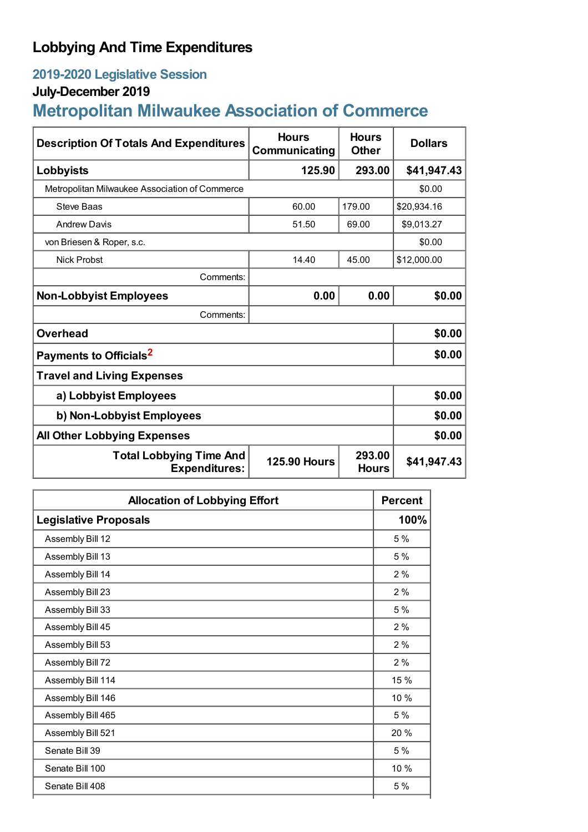## **Lobbying And Time Expenditures**

## **2019-2020 Legislative Session**

## **July-December 2019**

# **Metropolitan Milwaukee Association of Commerce**

| <b>Description Of Totals And Expenditures</b>          | <b>Hours</b><br>Communicating | <b>Hours</b><br><b>Other</b> | <b>Dollars</b> |  |
|--------------------------------------------------------|-------------------------------|------------------------------|----------------|--|
| Lobbyists                                              | 125.90                        | 293.00                       | \$41,947.43    |  |
| Metropolitan Milwaukee Association of Commerce         |                               |                              | \$0.00         |  |
| Steve Baas                                             | 60.00                         | 179.00                       | \$20,934.16    |  |
| <b>Andrew Davis</b>                                    | 51.50                         | 69.00                        | \$9,013.27     |  |
| von Briesen & Roper, s.c.                              |                               |                              | \$0.00         |  |
| <b>Nick Probst</b>                                     | 14.40                         | 45.00                        | \$12,000.00    |  |
| Comments:                                              |                               |                              |                |  |
| <b>Non-Lobbyist Employees</b>                          | 0.00                          | 0.00                         | \$0.00         |  |
| Comments:                                              |                               |                              |                |  |
| <b>Overhead</b>                                        |                               |                              | \$0.00         |  |
| Payments to Officials <sup>2</sup>                     |                               |                              | \$0.00         |  |
| <b>Travel and Living Expenses</b>                      |                               |                              |                |  |
| a) Lobbyist Employees                                  |                               |                              | \$0.00         |  |
| b) Non-Lobbyist Employees                              |                               |                              | \$0.00         |  |
| <b>All Other Lobbying Expenses</b>                     |                               |                              | \$0.00         |  |
| <b>Total Lobbying Time And</b><br><b>Expenditures:</b> | <b>125.90 Hours</b>           | 293.00<br><b>Hours</b>       | \$41,947.43    |  |

| <b>Allocation of Lobbying Effort</b> |      |
|--------------------------------------|------|
| <b>Legislative Proposals</b>         | 100% |
| Assembly Bill 12                     | 5 %  |
| Assembly Bill 13                     | 5%   |
| Assembly Bill 14                     | 2%   |
| Assembly Bill 23                     | 2%   |
| Assembly Bill 33                     | 5 %  |
| Assembly Bill 45                     | 2 %  |
| Assembly Bill 53                     | 2%   |
| Assembly Bill 72                     | 2%   |
| Assembly Bill 114                    | 15 % |
| Assembly Bill 146                    | 10 % |
| Assembly Bill 465                    | 5 %  |
| Assembly Bill 521                    | 20 % |
| Senate Bill 39                       | 5 %  |
| Senate Bill 100                      | 10 % |
| Senate Bill 408                      | 5%   |
|                                      |      |